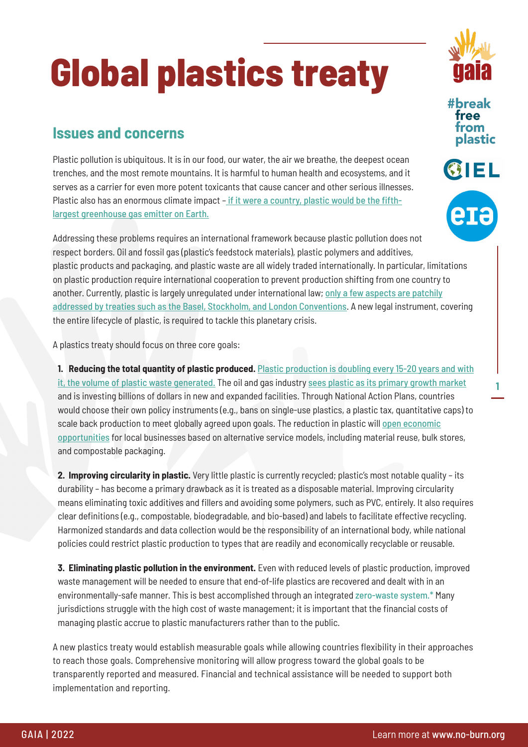## **Global plastics treaty**

## **Issues and concerns**

Plastic pollution is ubiquitous. It is in our food, our water, the air we breathe, the deepest ocean trenches, and the most remote mountains. It is harmful to human health and ecosystems, and it serves as a carrier for even more potent toxicants that cause cancer and other serious illnesses. Plastic also has an enormous climate impact – [if it were a country, plastic would be the fifth](https://doi.org/10.1038/s41558-019-0459-z)[largest greenhouse gas emitter on Earth.](https://doi.org/10.1038/s41558-019-0459-z)

Addressing these problems requires an international framework because plastic pollution does not respect borders. Oil and fossil gas (plastic's feedstock materials), plastic polymers and additives, plastic products and packaging, and plastic waste are all widely traded internationally. In particular, limitations on plastic production require international cooperation to prevent production shifting from one country to another. Currently, plastic is largely unregulated under international law; [only a few aspects are patchily](https://www.ciel.org/reports/convention-on-plastic-pollution-toward-a-new-global-agreement-to-address-plastic-pollution/) [addressed by treaties such as the Basel, Stockholm, and London Conventions](https://www.ciel.org/reports/convention-on-plastic-pollution-toward-a-new-global-agreement-to-address-plastic-pollution/). A new legal instrument, covering the entire lifecycle of plastic, is required to tackle this planetary crisis.

A plastics treaty should focus on three core goals:

**1. Reducing the total quantity of plastic produced.** [Plastic production is doubling every 15-20 years and with](https://www.science.org/doi/10.1126/sciadv.1700782) [it, the volume of plastic waste generated](https://www.science.org/doi/10.1126/sciadv.1700782)[.](https://grist.org/climate/fossil-fuel-companies-are-counting-on-plastics-to-save-them/) The oil and gas industry [sees plastic as its primary growth market](https://grist.org/climate/fossil-fuel-companies-are-counting-on-plastics-to-save-them/) and is investing billions of dollars in new and expanded facilities. Through National Action Plans, countries would choose their own policy instruments (e.g., bans on single-use plastics, a plastic tax, quantitative caps) to scale back production to meet globally agreed upon goals. The reduction in plastic will [open economic](https://www3.weforum.org/docs/WEF_IR_Future_of_Reusable_Consumption_2021.pdf) [opportunities](https://www3.weforum.org/docs/WEF_IR_Future_of_Reusable_Consumption_2021.pdf) for local businesses based on alternative service models, including material reuse, bulk stores, and compostable packaging.

**2. Improving circularity in plastic.** Very little plastic is currently recycled; plastic's most notable quality – its durability – has become a primary drawback as it is treated as a disposable material. Improving circularity means eliminating toxic additives and fillers and avoiding some polymers, such as PVC, entirely. It also requires clear definitions (e.g., compostable, biodegradable, and bio-based) and labels to facilitate effective recycling. Harmonized standards and data collection would be the responsibility of an international body, while national policies could restrict plastic production to types that are readily and economically recyclable or reusable.

**3. Eliminating plastic pollution in the environment.** Even with reduced levels of plastic production, improved waste management will be needed to ensure that end-of-life plastics are recovered and dealt with in an environmentally-safe manner. This is best accomplished through an integrated zero-waste system.\* Many jurisdictions struggle with the high cost of waste management; it is important that the financial costs of managing plastic accrue to plastic manufacturers rather than to the public.

A new plastics treaty would establish measurable goals while allowing countries flexibility in their approaches to reach those goals. Comprehensive monitoring will allow progress toward the global goals to be transparently reported and measured. Financial and technical assistance will be needed to support both implementation and reporting.



**#break** free **om** plastic



**1**